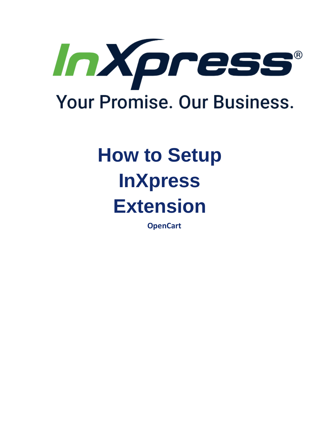

# **How to Setup InXpress Extension**

**OpenCart**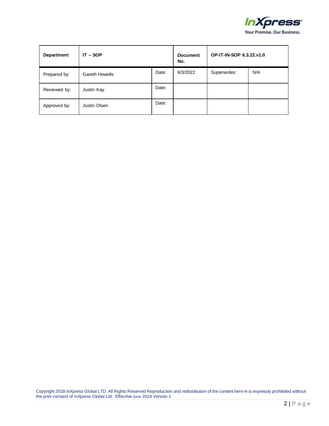

| <b>Department</b> | $IT - SOP$            |       | <b>Document</b><br>No. | OP-IT-IN-SOP 6.3.22.v1.0 |     |
|-------------------|-----------------------|-------|------------------------|--------------------------|-----|
| Prepared by:      | <b>Gareth Howells</b> | Date: | 6/3/2022               | Supersedes:              | N/A |
| Reviewed by:      | Justin Kay            | Date: |                        |                          |     |
| Approved by:      | Justin Olsen          | Date: |                        |                          |     |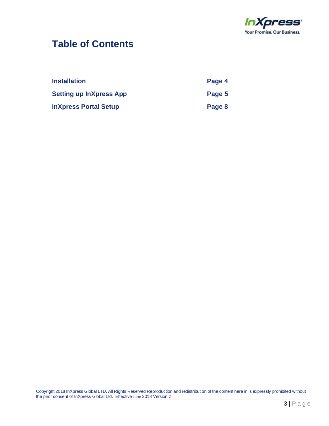

#### **Table of Contents**

| <b>Installation</b>            | Page 4 |
|--------------------------------|--------|
| <b>Setting up InXpress App</b> | Page 5 |
| <b>InXpress Portal Setup</b>   | Page 8 |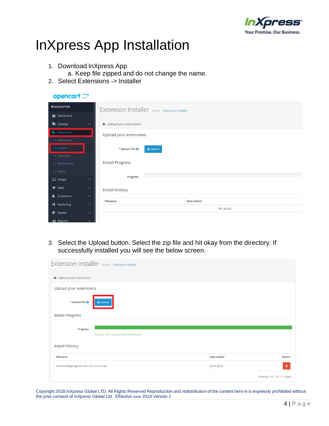

## InXpress App Installation

- 1. Download InXpress App
	- a. Keep file zipped and do not change the name.
- 2. Select Extensions -> Installer

| opencart                           |                                                |                          |          |                   |             |  |
|------------------------------------|------------------------------------------------|--------------------------|----------|-------------------|-------------|--|
| $\equiv$ NAVIGATION                | Extension Installer Home > Extension Installer |                          |          |                   |             |  |
| <b>2</b> Dashboard                 |                                                |                          |          |                   |             |  |
| Catalog                            | $\rightarrow$                                  | + Upload your extensions |          |                   |             |  |
| <b>R</b> Extensions                |                                                | Upload your extensions   |          |                   |             |  |
| » Marketplace                      |                                                |                          |          |                   |             |  |
| » Installer                        |                                                | * Upload File @          | L Upload |                   |             |  |
| » Extensions                       |                                                |                          |          |                   |             |  |
| » Modifications                    |                                                | <b>Install Progress</b>  |          |                   |             |  |
| » Events                           |                                                |                          |          |                   |             |  |
| $\Box$ Design                      | $\rightarrow$                                  | Progress                 |          |                   |             |  |
| $\blacktriangleright$ Sales        | $\rightarrow$                                  | Install History          |          |                   |             |  |
| & Customers                        | $\rightarrow$                                  |                          |          |                   |             |  |
| <> Marketing                       | $\rightarrow$                                  | Filename                 |          | <b>Date Added</b> |             |  |
| <b><math>\bullet</math></b> System | $\rightarrow$                                  |                          |          |                   | No results! |  |
| <b>III</b> Reports                 | $\mathbf{v}$                                   |                          |          |                   |             |  |

3. Select the Upload button. Select the zip file and hit okay from the directory. If successfully installed you will see the below screen.

| Extension Installer Home > Extension Installer            |                   |                               |
|-----------------------------------------------------------|-------------------|-------------------------------|
| + Upload your extensions                                  |                   |                               |
| Upload your extensions                                    |                   |                               |
| Lupload<br>* Upload File <sup>@</sup>                     |                   |                               |
| <b>Install Progress</b>                                   |                   |                               |
| <b>Progress</b><br>Success: You have modified extensions! |                   |                               |
| <b>Install History</b>                                    |                   |                               |
| <b>Filename</b>                                           | <b>Date Added</b> | <b>Action</b>                 |
| InXpressShippingExtension-OC3.ocmod.zip                   | 03/06/2022        | 會                             |
|                                                           |                   | Showing 1 to 1 of 1 (1 Pages) |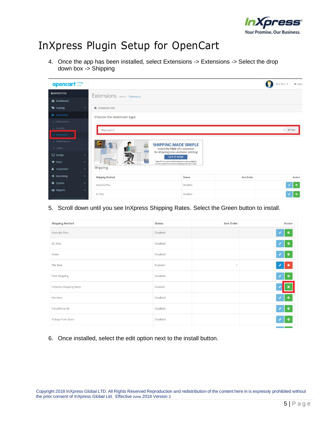

### InXpress Plugin Setup for OpenCart

4. Once the app has been installed, select Extensions -> Extensions -> Select the drop down box -> Shipping



5. Scroll down until you see InXpress Shipping Rates. Select the Green button to install.

| <b>Shipping Method</b>         | <b>Status</b>   | <b>Sort Order</b> | <b>Action</b> |
|--------------------------------|-----------------|-------------------|---------------|
| Australia Post                 | Disabled        |                   | ۰             |
| EC-Ship                        | <b>Disabled</b> |                   | ۰             |
| Fedex                          | <b>Disabled</b> |                   | $\bullet$     |
| Flat Rate                      | Enabled         | 4                 | $\bullet$ 0   |
| <b>Free Shipping</b>           | <b>Disabled</b> |                   | $\bullet$     |
| <b>InXpress Shipping Rates</b> | Enabled         |                   |               |
| Per Item                       | <b>Disabled</b> |                   | $\bullet$     |
| Parcelforce 48                 | <b>Disabled</b> |                   | l o           |
| Pickup From Store              | <b>Disabled</b> |                   | ٥             |
|                                |                 |                   |               |

6. Once installed, select the edit option next to the install button.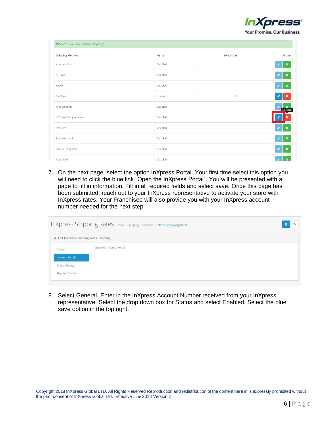

| Success: You have modified shipping! |                 |                   |                        |  |
|--------------------------------------|-----------------|-------------------|------------------------|--|
| <b>Shipping Method</b>               | <b>Status</b>   | <b>Sort Order</b> | <b>Action</b>          |  |
| Australia Post                       | <b>Disabled</b> |                   | $\bullet$              |  |
| EC-Ship                              | Disabled        |                   | $\bullet$ 0            |  |
| Fedex                                | Disabled        |                   | $\bullet$              |  |
| <b>Flat Rate</b>                     | Enabled         | $\mathbf{1}$      | v<br>$\bullet$         |  |
| <b>Free Shipping</b>                 | Disabled        |                   | $\bullet$<br>Uninstall |  |
| <b>InXpress Shipping Rates</b>       | <b>Disabled</b> |                   |                        |  |
| Per Item                             | Disabled        |                   | $\bullet$              |  |
| Parcelforce 48                       | Disabled        |                   | $\bullet$<br>v         |  |
| Pickup From Store                    | Disabled        |                   | $\sqrt{2}$ 0           |  |
| Royal Mail                           | Disabled        |                   | $\bullet$              |  |

7. On the next page, select the option InXpress Portal. Your first time select this option you will need to click the blue link "Open the InXpress Portal". You will be presented with a page to fill in information. Fill in all required fields and select save. Once this page has been submitted, reach out to your InXpress representative to activate your store with InXpress rates. Your Franchisee will also provide you with your InXpress account number needed for the next step.

| InXpress Shipping Rates Home > Shipping Extensions > InXpress Shipping Rates<br>日 |                                       |  |  |  |  |
|-----------------------------------------------------------------------------------|---------------------------------------|--|--|--|--|
|                                                                                   | Edit InXpress Shipping Rates Shipping |  |  |  |  |
| General<br><b>InXpress Portal</b><br>Origin Address<br><b>Shipping Carriers</b>   | Open the InXpress Portal              |  |  |  |  |

8. Select General. Enter in the InXpress Account Number received from your InXpress representative. Select the drop down box for Status and select Enabled. Select the blue save option in the top right.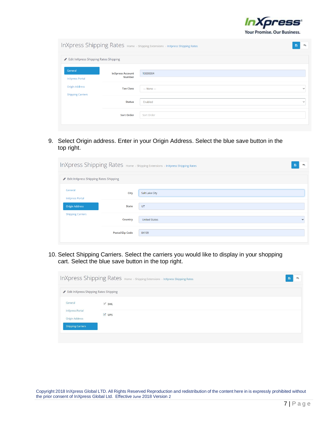

|                                                   | InXpress Shipping Rates Home > Shipping Extensions > InXpress Shipping Rates<br>B<br>ь |              |              |  |  |
|---------------------------------------------------|----------------------------------------------------------------------------------------|--------------|--------------|--|--|
| Edit InXpress Shipping Rates Shipping             |                                                                                        |              |              |  |  |
| General<br><b>InXpress Portal</b>                 | <b>InXpress Account</b><br><b>Number</b>                                               | 10000004     |              |  |  |
| <b>Origin Address</b><br><b>Shipping Carriers</b> | <b>Tax Class</b>                                                                       | --- None --- | $\check{ }$  |  |  |
|                                                   | <b>Status</b>                                                                          | Enabled      | $\checkmark$ |  |  |
|                                                   | <b>Sort Order</b>                                                                      | Sort Order   |              |  |  |

9. Select Origin address. Enter in your Origin Address. Select the blue save button in the top right.

| InXpress Shipping Rates Home > Shipping Extensions > InXpress Shipping Rates<br>日 |                        |                      |  |  |
|-----------------------------------------------------------------------------------|------------------------|----------------------|--|--|
| Edit InXpress Shipping Rates Shipping                                             |                        |                      |  |  |
| General<br><b>InXpress Portal</b>                                                 | <b>City</b>            | Salt Lake City       |  |  |
| <b>Origin Address</b>                                                             | <b>State</b>           | UT                   |  |  |
| <b>Shipping Carriers</b>                                                          | <b>Country</b>         | <b>United States</b> |  |  |
|                                                                                   | <b>Postal/Zip Code</b> | 84109                |  |  |

10. Select Shipping Carriers. Select the carriers you would like to display in your shopping cart. Select the blue save button in the top right.

| InXpress Shipping Rates Home > Shipping Extensions > InXpress Shipping Rates<br>图 |            |  |  |  |
|-----------------------------------------------------------------------------------|------------|--|--|--|
| Edit InXpress Shipping Rates Shipping                                             |            |  |  |  |
| General                                                                           | $\vee$ DHL |  |  |  |
| <b>InXpress Portal</b><br>Origin Address                                          | $V$ UPS    |  |  |  |
| <b>Shipping Carriers</b>                                                          |            |  |  |  |
|                                                                                   |            |  |  |  |